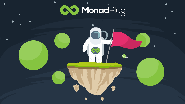

# **COMonadPlug**

 $\bullet$ 

 $\bullet$ 



 $\bullet$ 

 $\bullet$ 

 $\bullet$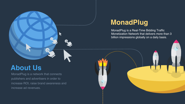increase ad revenues. increase ROI, raise brand awareness and publishers and advertisers in order to MonadPlug is a network that connects

billion impressions globally on a daily basis. Monetization Network that delivers more than 3 MonadPlug is a Real-Time Bidding Traffic







### **About Us**

### **MonadPlug**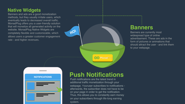

#### **NOTIFICATIONS**



rate - and higher revenues. allows users a greater customer engagement completely flexible and customizable, which website. MonadPlug Native Widgets are that will monetize all generated activity on the MonadPlug offers you a user-friendly solution eventually leads to decreased overall traffic. methods, but they usually irritate users, which Banners and ads are a good monetization

### **Native Widgets**

to your webpage. should attract the user - and link them form of pictures or animations that advertisement. These are ads in the widespread type of online Banners are currently most

**OO MonadPlu** 

### **Banners**

system. on your subscribers through life-long earning Thus, this allows you to constantly earn money on your page in order to get the notification. afterwards, the subscriber does not have to be webpage. Youruser subscribes to notifications additional traffic monetization through your Push notifications are the latest trend in

**Push Notifications**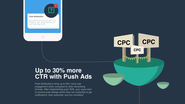**1**

your web page traffic. insigth in your overall statistics of MonadPlug provides you with a full

?

notifications: they subscribe, and you monetize! to receive push dialogs where they can subscribe to get formats. After implementing push SDK, your users start engagement when compared to other advertising Push Notifications bring up to 30% more user

#### **Push Notification**



### **CTR with Push Ads Up to 30% more**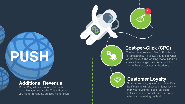1

you higher revenues, but also higher ROI! monetize your web traffic. This will bring MonadPlug allows you to additionally

# **PUSH**

#### **Additional Revenue**

effective monetizing method. notifications are non-intrusive, yet very from your customer base - as push Notifications, will allow you higher loyalty Smart advertising systems, such as Push





### **Customer Loyalty**

our notifications by your subscribers. ensure that you get paid per any click on works for you! The working model CPC will is transparency - it allows you to see what The best feature about MonadPlug is that

# WY

### **Cost-per-Click (CPC)**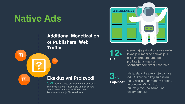Generirajte prihod od svoje weblokacije ili mobilne aplikacije s ciljanim preporukama od pružatelja usluga na sponzoriranom tržištu sadržaja.

**12**% **CR**

 $\boxed{2}$ 

3

**SVE** reklame koje prikažemo na Vašem sajtu imaju ekskluzivne Payoute što Vam osigurava znatno veću zaradu za razliku od ostalih konkurenata u polju Native reklama.

### **Ekskluzivni Proizvodi**

Naša statistika pokazuje da više od 3% korisnika koji su ostvarili neku akciju, u narednom periodu je ponove. Mi vam i to prikazujemo kao zaradu na vašem panelu.





### **Traffic of Publishers' Web Additional Monetization**

 $\boxed{?}$ 

## **Native Ads**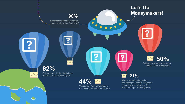### **Let's Go Moneymakers!**

8

Sajtova nema, ili nije nikada imalo dodira sa Push Monetizacijom!

### **82%**

3

#### **98%**

Publishera zadrži naše widgete i monetizaciju trajno. Zanimljivo?

3

**44%**

Veću zaradu Vam garantiramo u minimalnom vremenskom periodu.

3

### **21%**

 $\overline{\mathbf{3}}$ 

Klikova na regionalnom nivou monetizacije se smatra "Fraudom" ili ne prikazanim klikovima. Što rezultira manju Zaradu sajtovima.

**50%**

Sajtova u regionu uopšte nema

Widget i Push monetizaciju.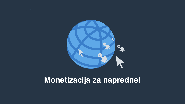### **Monetizacija za napredne!**

 $\boldsymbol{\mathcal{S}}$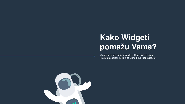

## **Kako Widgeti pomažu Vama?**

U narednim koracima saznajte koliko je Važno imati kvalitetan sadržaj, koji pruža MonadPlug kroz Widgete.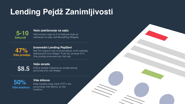## **Lending Pejdž Zanimljivosti**

#### **Vaša zarada**

 $\textbf{8.5}$  8.5\$ je srednja vrijednost po prodaji jednog prodaji jednog proizvoda kroz naš Widget.

#### **Veće zadržavanje na sajtu**

Vaši korisnici sajta će 5-10 Sekundi duže se zadržavati na sajtu radi MonadPlug Widgeta.

**5-10 Sekundi**

#### **Izvanredni Lending Pejdževi**

Naše kreative imaju visok CTR % što prouzrokuje više klikova, te više Leadova.



Naš Tim naporno radi na proizvođenju novih sadržaja distribuiranih kroz Widget i Push što uzrokuje 47% Više prodaja proizvoda kroz Vaš sajt.

**47% Više prodaja**

#### **Više klikova**

**50% Više leadova**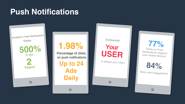### **Push Notifications**



### **1.98%**

Percentage of clicks on push notifications

**Up to 24 Ads Daily**

#### **<sup>E</sup>xclusivity!**

### **Your USER**

Is always your User!

**77%**

Clicks on Push Notifications happens over mobile devices!

**84%**

More user engagement!

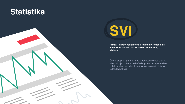### **Statistika**





**Prikazi I klikovi reklame će u realnom vremenu biti zabilježeni na Vaš dashboard od MonadPlug sistema.**

Čvrsto stojimo i garantujemo o transparentnosti svakog klika i akcije izvršene preko Vašeg sajta. Na upit možete dobiti detaljan report svih dešavanja, impresija, klikova te leadova/akcija.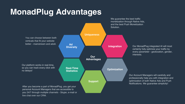

**Diversity**

**Advantages Our** 

**Integration**<br> **Versity Ad Integration** 

**Optimization**

**Support**

**Statistics Real-Time** 

better - mainstream and adult. verticals that fit your website You can choose between both

no delays! so you can track every click with Our platform works in real-time,

live chat over our CRM. you 24/7 through multiple channels - Skype, e-mail or personal Account Managers that are accessible to After you become a part of MonadPlug, you get your



Solution. and the best Push Monetization monetization through Native Ads, We guarantee the best traffic

> Notifications. We guarantee simplicity! optimization of both Native Ads and Push professionally help you with integration and Our Account Managers will carefully and

interests. every parameter - geolocation, gender, certainly fully optimize your traffic by Our MonadPlug integrated AI will most

### **MonadPlug Advantages**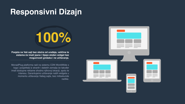### **Responsivni Dizajn**

# **100%**

**Posjeta na Vaš sajt bez obzira od uređaja, veličine te sistema će imati jasno i lijepo složen widget bez mogućnosti grešaka i ne učitavanja.**

MonadPlug platforma radi na sistemu CDN WorldWide s toga i posjetitelji iz stranih i dalekih zemalja će također imati dostupne reklame shodno njihovoj lokaciji, spolu te interesu. Garantujemo ućitavanje naših widgeta u momentu učitavanja Vašeg sajta, bez milisekunde razlike.

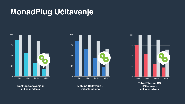**Mobilno Učitavanje u milisekundama**





#### **Tablet/Chrome OS Učitavanje u milisekundama**

#### **Desktop Učitavanje u milisekundama**

### **MonadPlug Učitavanje**